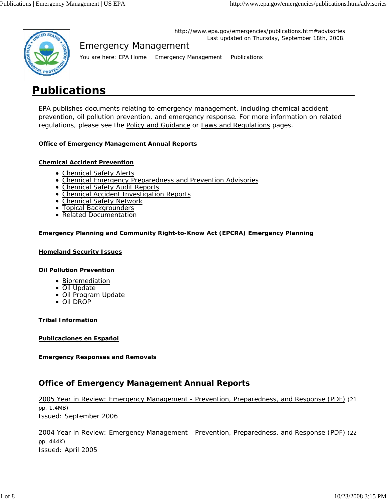

Last updated on Thursday, September 18th, 2008. http://www.epa.gov/emergencies/publications.htm#advisories

# Emergency Management

You are here: EPA Home Emergency Management Publications

# **Publications**

EPA publishes documents relating to emergency management, including chemical accident prevention, oil pollution prevention, and emergency response. For more information on related regulations, please see the Policy and Guidance or Laws and Regulations pages.

# **Office of Emergency Management Annual Reports**

# **Chemical Accident Prevention**

- **Chemical Safety Alerts**
- Chemical Emergency Preparedness and Prevention Advisories
- Chemical Safety Audit Reports
- Chemical Accident Investigation Reports
- Chemical Safety Network
- Topical Backgrounders
- Related Documentation

## **Emergency Planning and Community Right-to-Know Act (EPCRA) Emergency Planning**

## **Homeland Security Issues**

## **Oil Pollution Prevention**

- **•** Bioremediation
- Oil Update
- Oil Program Update
- Oil DROP

## **Tribal Information**

## **Publicaciones en Español**

## **Emergency Responses and Removals**

# **Office of Emergency Management Annual Reports**

2005 Year in Review: Emergency Management - Prevention, Preparedness, and Response (PDF) (21 pp, 1.4MB) Issued: September 2006

2004 Year in Review: Emergency Management - Prevention, Preparedness, and Response (PDF) (22 pp, 444K) Issued: April 2005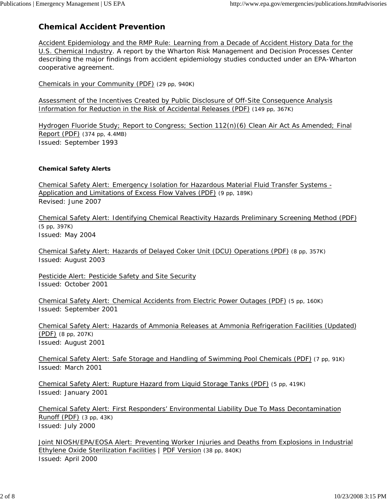# **Chemical Accident Prevention**

Accident Epidemiology and the RMP Rule: Learning from a Decade of Accident History Data for the U.S. Chemical Industry. A report by the Wharton Risk Management and Decision Processes Center describing the major findings from accident epidemiology studies conducted under an EPA-Wharton cooperative agreement.

Chemicals in your Community (PDF) (29 pp, 940K)

Assessment of the Incentives Created by Public Disclosure of Off-Site Consequence Analysis Information for Reduction in the Risk of Accidental Releases (PDF) (149 pp, 367K)

Hydrogen Fluoride Study; Report to Congress; Section 112(n)(6) Clean Air Act As Amended; Final Report (PDF) (374 pp, 4.4MB) Issued: September 1993

## **Chemical Safety Alerts**

Chemical Safety Alert: Emergency Isolation for Hazardous Material Fluid Transfer Systems - Application and Limitations of Excess Flow Valves (PDF) (9 pp, 189K) Revised: June 2007

Chemical Safety Alert: Identifying Chemical Reactivity Hazards Preliminary Screening Method (PDF) (5 pp, 397K) Issued: May 2004

Chemical Safety Alert: Hazards of Delayed Coker Unit (DCU) Operations (PDF) (8 pp, 357K) Issued: August 2003

Pesticide Alert: Pesticide Safety and Site Security Issued: October 2001

Chemical Safety Alert: Chemical Accidents from Electric Power Outages (PDF) (5 pp, 160K) Issued: September 2001

Chemical Safety Alert: Hazards of Ammonia Releases at Ammonia Refrigeration Facilities (Updated) (PDF) (8 pp, 207K) Issued: August 2001

Chemical Safety Alert: Safe Storage and Handling of Swimming Pool Chemicals (PDF) (7 pp, 91K) Issued: March 2001

Chemical Safety Alert: Rupture Hazard from Liquid Storage Tanks (PDF) (5 pp, 419K) Issued: January 2001

Chemical Safety Alert: First Responders' Environmental Liability Due To Mass Decontamination Runoff (PDF) (3 pp, 43K) Issued: July 2000

Joint NIOSH/EPA/EOSA Alert: Preventing Worker Injuries and Deaths from Explosions in Industrial Ethylene Oxide Sterilization Facilities | PDF Version (38 pp, 840K) Issued: April 2000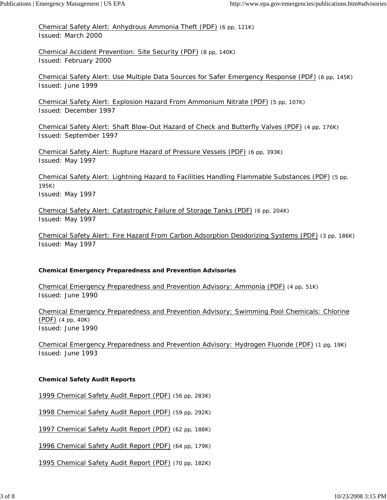Chemical Safety Alert: Anhydrous Ammonia Theft (PDF) (6 pp, 121K) Issued: March 2000

Chemical Accident Prevention: Site Security (PDF) (8 pp, 140K) Issued: February 2000

Chemical Safety Alert: Use Multiple Data Sources for Safer Emergency Response (PDF) (6 pp, 145K) Issued: June 1999

Chemical Safety Alert: Explosion Hazard From Ammonium Nitrate (PDF) (5 pp, 107K) Issued: December 1997

Chemical Safety Alert: Shaft Blow-Out Hazard of Check and Butterfly Valves (PDF) (4 pp, 176K) Issued: September 1997

Chemical Safety Alert: Rupture Hazard of Pressure Vessels (PDF) (6 pp, 393K) Issued: May 1997

Chemical Safety Alert: Lightning Hazard to Facilities Handling Flammable Substances (PDF) (5 pp, 195K) Issued: May 1997

Chemical Safety Alert: Catastrophic Failure of Storage Tanks (PDF) (6 pp, 204K) Issued: May 1997

Chemical Safety Alert: Fire Hazard From Carbon Adsorption Deodorizing Systems (PDF) (3 pp, 186K) Issued: May 1997

#### **Chemical Emergency Preparedness and Prevention Advisories**

Chemical Emergency Preparedness and Prevention Advisory: Ammonia (PDF) (4 pp, 51K) Issued: June 1990

Chemical Emergency Preparedness and Prevention Advisory: Swimming Pool Chemicals: Chlorine (PDF) (4 pp, 40K) Issued: June 1990

Chemical Emergency Preparedness and Prevention Advisory: Hydrogen Fluoride (PDF) (1 pg, 19K) Issued: June 1993

#### **Chemical Safety Audit Reports**

1999 Chemical Safety Audit Report (PDF) (56 pp, 283K)

1998 Chemical Safety Audit Report (PDF) (59 pp, 292K)

1997 Chemical Safety Audit Report (PDF) (62 pp, 188K)

1996 Chemical Safety Audit Report (PDF) (64 pp, 179K)

1995 Chemical Safety Audit Report (PDF) (70 pp, 182K)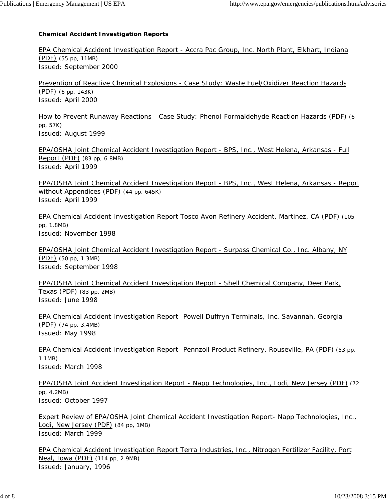#### **Chemical Accident Investigation Reports**

EPA Chemical Accident Investigation Report - Accra Pac Group, Inc. North Plant, Elkhart, Indiana (PDF) (55 pp, 11MB) Issued: September 2000

Prevention of Reactive Chemical Explosions - Case Study: Waste Fuel/Oxidizer Reaction Hazards  $(PDF)$  (6 pp, 143K) Issued: April 2000

How to Prevent Runaway Reactions - Case Study: Phenol-Formaldehyde Reaction Hazards (PDF) (6 pp, 57K) Issued: August 1999

EPA/OSHA Joint Chemical Accident Investigation Report - BPS, Inc., West Helena, Arkansas - Full Report (PDF) (83 pp, 6.8MB) Issued: April 1999

EPA/OSHA Joint Chemical Accident Investigation Report - BPS, Inc., West Helena, Arkansas - Report without Appendices (PDF) (44 pp, 645K) Issued: April 1999

EPA Chemical Accident Investigation Report Tosco Avon Refinery Accident, Martinez, CA (PDF) (105 pp, 1.8MB) Issued: November 1998

EPA/OSHA Joint Chemical Accident Investigation Report - Surpass Chemical Co., Inc. Albany, NY (PDF) (50 pp, 1.3MB) Issued: September 1998

EPA/OSHA Joint Chemical Accident Investigation Report - Shell Chemical Company, Deer Park, Texas (PDF) (83 pp, 2MB) Issued: June 1998

EPA Chemical Accident Investigation Report -Powell Duffryn Terminals, Inc. Savannah, Georgia (PDF) (74 pp, 3.4MB) Issued: May 1998

EPA Chemical Accident Investigation Report -Pennzoil Product Refinery, Rouseville, PA (PDF) (53 pp, 1.1MB) Issued: March 1998

EPA/OSHA Joint Accident Investigation Report - Napp Technologies, Inc., Lodi, New Jersey (PDF) (72 pp, 4.2MB) Issued: October 1997

Expert Review of EPA/OSHA Joint Chemical Accident Investigation Report- Napp Technologies, Inc., Lodi, New Jersey (PDF) (84 pp, 1MB) Issued: March 1999

EPA Chemical Accident Investigation Report Terra Industries, Inc., Nitrogen Fertilizer Facility, Port Neal, Iowa (PDF) (114 pp, 2.9MB) Issued: January, 1996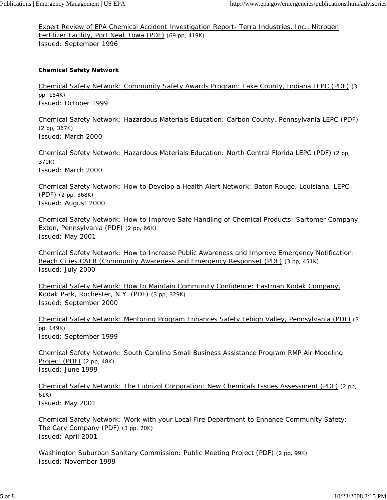Expert Review of EPA Chemical Accident Investigation Report- Terra Industries, Inc., Nitrogen Fertilizer Facility, Port Neal, Iowa (PDF) (69 pp, 419K) Issued: September 1996

#### **Chemical Safety Network**

Chemical Safety Network: Community Safety Awards Program: Lake County, Indiana LEPC (PDF) (3 pp, 154K) Issued: October 1999

Chemical Safety Network: Hazardous Materials Education: Carbon County, Pennsylvania LEPC (PDF) (2 pp, 367K) Issued: March 2000

Chemical Safety Network: Hazardous Materials Education: North Central Florida LEPC (PDF) (2 pp, 370K) Issued: March 2000

Chemical Safety Network: How to Develop a Health Alert Network: Baton Rouge, Louisiana, LEPC (PDF) (2 pp, 368K) Issued: August 2000

Chemical Safety Network: How to Improve Safe Handling of Chemical Products: Sartomer Company, Exton, Pennsylvania (PDF) (2 pp, 66K) Issued: May 2001

Chemical Safety Network: How to Increase Public Awareness and Improve Emergency Notification: Beach Cities CAER (Community Awareness and Emergency Response) (PDF) (3 pp, 451K) Issued: July 2000

Chemical Safety Network: How to Maintain Community Confidence: Eastman Kodak Company, Kodak Park, Rochester, N.Y. (PDF) (3 pp, 329K) Issued: September 2000

Chemical Safety Network: Mentoring Program Enhances Safety Lehigh Valley, Pennsylvania (PDF) (3 pp, 149K) Issued: September 1999

Chemical Safety Network: South Carolina Small Business Assistance Program RMP Air Modeling Project (PDF) (2 pp, 48K) Issued: June 1999

Chemical Safety Network: The Lubrizol Corporation: New Chemicals Issues Assessment (PDF) (2 pp, 61K) Issued: May 2001

Chemical Safety Network: Work with your Local Fire Department to Enhance Community Safety: The Cary Company (PDF) (3 pp, 70K) Issued: April 2001

Washington Suburban Sanitary Commission: Public Meeting Project (PDF) (2 pp, 99K) Issued: November 1999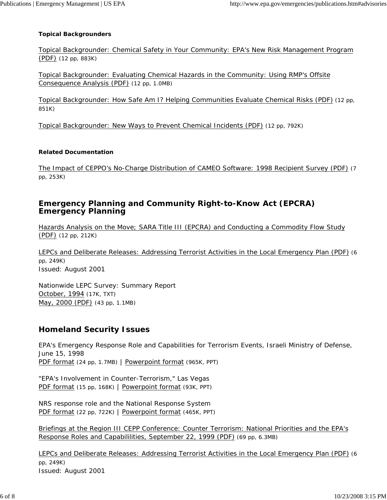## **Topical Backgrounders**

Topical Backgrounder: Chemical Safety in Your Community: EPA's New Risk Management Program (PDF) (12 pp, 883K)

Topical Backgrounder: Evaluating Chemical Hazards in the Community: Using RMP's Offsite Consequence Analysis (PDF) (12 pp, 1.0MB)

Topical Backgrounder: How Safe Am I? Helping Communities Evaluate Chemical Risks (PDF) (12 pp, 851K)

Topical Backgrounder: New Ways to Prevent Chemical Incidents (PDF) (12 pp, 792K)

#### **Related Documentation**

The Impact of CEPPO's No-Charge Distribution of CAMEO Software: 1998 Recipient Survey (PDF) (7 pp, 253K)

# **Emergency Planning and Community Right-to-Know Act (EPCRA) Emergency Planning**

Hazards Analysis on the Move; SARA Title III (EPCRA) and Conducting a Commodity Flow Study (PDF) (12 pp, 212K)

LEPCs and Deliberate Releases: Addressing Terrorist Activities in the Local Emergency Plan (PDF) (6 pp, 249K) Issued: August 2001

Nationwide LEPC Survey: Summary Report October, 1994 (17K, TXT) May, 2000 (PDF) (43 pp, 1.1MB)

# **Homeland Security Issues**

EPA's Emergency Response Role and Capabilities for Terrorism Events, Israeli Ministry of Defense, June 15, 1998 PDF format (24 pp, 1.7MB) | Powerpoint format (965K, PPT)

"EPA's Involvement in Counter-Terrorism," Las Vegas PDF format (15 pp, 168K) | Powerpoint format (93K, PPT)

NRS response role and the National Response System PDF format (22 pp, 722K) | Powerpoint format (465K, PPT)

Briefings at the Region III CEPP Conference: Counter Terrorism: National Priorities and the EPA's Response Roles and Capabililities, September 22, 1999 (PDF) (69 pp, 6.3MB)

LEPCs and Deliberate Releases: Addressing Terrorist Activities in the Local Emergency Plan (PDF) (6 pp, 249K) Issued: August 2001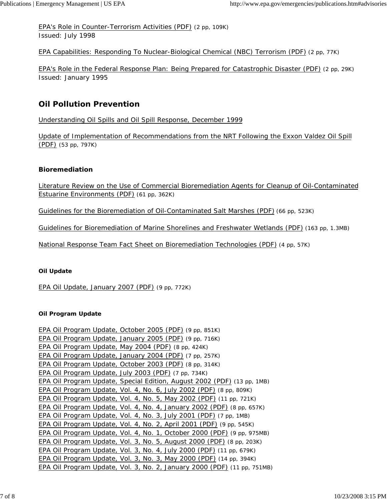EPA's Role in Counter-Terrorism Activities (PDF) (2 pp, 109K) Issued: July 1998

EPA Capabilities: Responding To Nuclear-Biological Chemical (NBC) Terrorism (PDF) (2 pp, 77K)

EPA's Role in the Federal Response Plan: Being Prepared for Catastrophic Disaster (PDF) (2 pp, 29K) Issued: January 1995

# **Oil Pollution Prevention**

Understanding Oil Spills and Oil Spill Response, December 1999

Update of Implementation of Recommendations from the NRT Following the Exxon Valdez Oil Spill (PDF) (53 pp, 797K)

# **Bioremediation**

Literature Review on the Use of Commercial Bioremediation Agents for Cleanup of Oil-Contaminated Estuarine Environments (PDF) (61 pp, 362K)

Guidelines for the Bioremediation of Oil-Contaminated Salt Marshes (PDF) (66 pp, 523K)

Guidelines for Bioremediation of Marine Shorelines and Freshwater Wetlands (PDF) (163 pp, 1.3MB)

National Response Team Fact Sheet on Bioremediation Technologies (PDF) (4 pp, 57K)

## **Oil Update**

EPA Oil Update, January 2007 (PDF) (9 pp, 772K)

## **Oil Program Update**

EPA Oil Program Update, October 2005 (PDF) (9 pp, 851K) EPA Oil Program Update, January 2005 (PDF) (9 pp, 716K) EPA Oil Program Update, May 2004 (PDF) (8 pp, 424K) EPA Oil Program Update, January 2004 (PDF) (7 pp, 257K) EPA Oil Program Update, October 2003 (PDF) (8 pp, 314K) EPA Oil Program Update, July 2003 (PDF) (7 pp, 734K) EPA Oil Program Update, Special Edition, August 2002 (PDF) (13 pp, 1MB) EPA Oil Program Update, Vol. 4, No. 6, July 2002 (PDF) (8 pp, 809K) EPA Oil Program Update, Vol. 4, No. 5, May 2002 (PDF) (11 pp, 721K) EPA Oil Program Update, Vol. 4, No. 4, January 2002 (PDF) (8 pp, 657K) EPA Oil Program Update, Vol. 4, No. 3, July 2001 (PDF) (7 pp, 1MB) EPA Oil Program Update, Vol. 4, No. 2, April 2001 (PDF) (9 pp, 545K) EPA Oil Program Update, Vol. 4, No. 1, October 2000 (PDF) (9 pp, 975MB) EPA Oil Program Update, Vol. 3, No. 5, August 2000 (PDF) (8 pp, 203K) EPA Oil Program Update, Vol. 3, No. 4, July 2000 (PDF) (11 pp, 679K) EPA Oil Program Update, Vol. 3, No. 3, May 2000 (PDF) (14 pp, 394K) EPA Oil Program Update, Vol. 3, No. 2, January 2000 (PDF) (11 pp, 751MB)